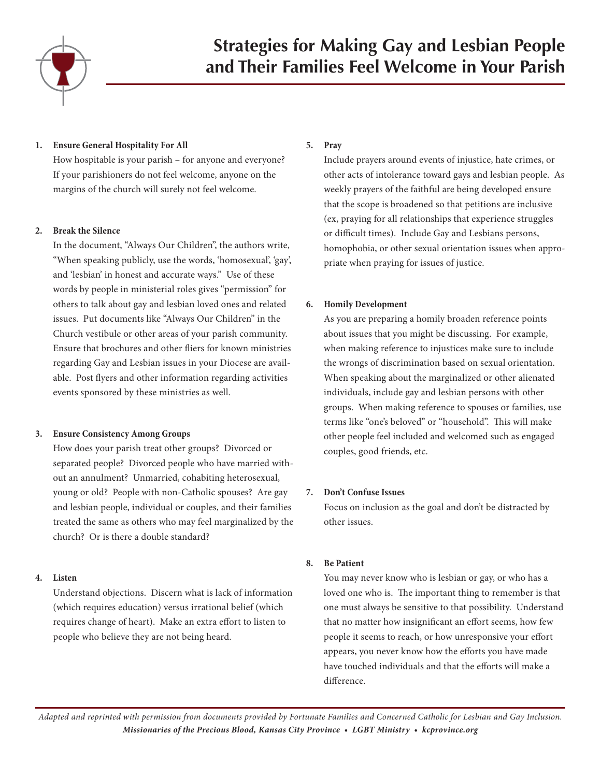

## **1. Ensure General Hospitality For All**

How hospitable is your parish – for anyone and everyone? If your parishioners do not feel welcome, anyone on the margins of the church will surely not feel welcome.

## **2. Break the Silence**

In the document, "Always Our Children", the authors write, "When speaking publicly, use the words, 'homosexual', 'gay', and 'lesbian' in honest and accurate ways." Use of these words by people in ministerial roles gives "permission" for others to talk about gay and lesbian loved ones and related issues. Put documents like "Always Our Children" in the Church vestibule or other areas of your parish community. Ensure that brochures and other fliers for known ministries regarding Gay and Lesbian issues in your Diocese are available. Post flyers and other information regarding activities events sponsored by these ministries as well.

# **3. Ensure Consistency Among Groups**

How does your parish treat other groups? Divorced or separated people? Divorced people who have married without an annulment? Unmarried, cohabiting heterosexual, young or old? People with non-Catholic spouses? Are gay and lesbian people, individual or couples, and their families treated the same as others who may feel marginalized by the church? Or is there a double standard?

# **4. Listen**

Understand objections. Discern what is lack of information (which requires education) versus irrational belief (which requires change of heart). Make an extra effort to listen to people who believe they are not being heard.

# **5. Pray**

Include prayers around events of injustice, hate crimes, or other acts of intolerance toward gays and lesbian people. As weekly prayers of the faithful are being developed ensure that the scope is broadened so that petitions are inclusive (ex, praying for all relationships that experience struggles or difficult times). Include Gay and Lesbians persons, homophobia, or other sexual orientation issues when appropriate when praying for issues of justice.

# **6. Homily Development**

As you are preparing a homily broaden reference points about issues that you might be discussing. For example, when making reference to injustices make sure to include the wrongs of discrimination based on sexual orientation. When speaking about the marginalized or other alienated individuals, include gay and lesbian persons with other groups. When making reference to spouses or families, use terms like "one's beloved" or "household". This will make other people feel included and welcomed such as engaged couples, good friends, etc.

# **7. Don't Confuse Issues**

Focus on inclusion as the goal and don't be distracted by other issues.

# **8. Be Patient**

You may never know who is lesbian or gay, or who has a loved one who is. The important thing to remember is that one must always be sensitive to that possibility. Understand that no matter how insignificant an effort seems, how few people it seems to reach, or how unresponsive your effort appears, you never know how the efforts you have made have touched individuals and that the efforts will make a difference.

*Adapted and reprinted with permission from documents provided by Fortunate Families and Concerned Catholic for Lesbian and Gay Inclusion. Missionaries of the Precious Blood, Kansas City Province • LGBT Ministry • kcprovince.org*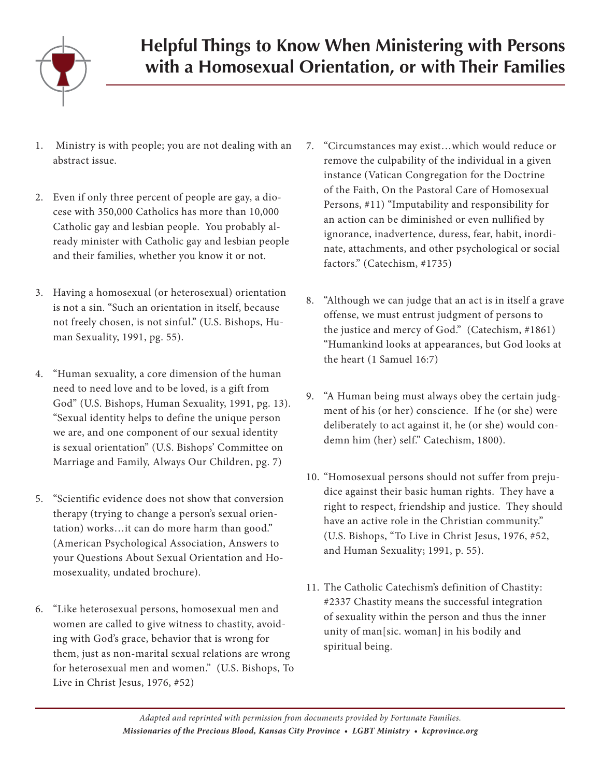

- 1. Ministry is with people; you are not dealing with an abstract issue.
- 2. Even if only three percent of people are gay, a diocese with 350,000 Catholics has more than 10,000 Catholic gay and lesbian people. You probably already minister with Catholic gay and lesbian people and their families, whether you know it or not.
- 3. Having a homosexual (or heterosexual) orientation is not a sin. "Such an orientation in itself, because not freely chosen, is not sinful." (U.S. Bishops, Human Sexuality, 1991, pg. 55).
- 4. "Human sexuality, a core dimension of the human need to need love and to be loved, is a gift from God" (U.S. Bishops, Human Sexuality, 1991, pg. 13). "Sexual identity helps to define the unique person we are, and one component of our sexual identity is sexual orientation" (U.S. Bishops' Committee on Marriage and Family, Always Our Children, pg. 7)
- 5. "Scientific evidence does not show that conversion therapy (trying to change a person's sexual orientation) works…it can do more harm than good." (American Psychological Association, Answers to your Questions About Sexual Orientation and Homosexuality, undated brochure).
- 6. "Like heterosexual persons, homosexual men and women are called to give witness to chastity, avoiding with God's grace, behavior that is wrong for them, just as non-marital sexual relations are wrong for heterosexual men and women." (U.S. Bishops, To Live in Christ Jesus, 1976, #52)
- 7. "Circumstances may exist…which would reduce or remove the culpability of the individual in a given instance (Vatican Congregation for the Doctrine of the Faith, On the Pastoral Care of Homosexual Persons, #11) "Imputability and responsibility for an action can be diminished or even nullified by ignorance, inadvertence, duress, fear, habit, inordinate, attachments, and other psychological or social factors." (Catechism, #1735)
- 8. "Although we can judge that an act is in itself a grave offense, we must entrust judgment of persons to the justice and mercy of God." (Catechism, #1861) "Humankind looks at appearances, but God looks at the heart (1 Samuel 16:7)
- 9. "A Human being must always obey the certain judgment of his (or her) conscience. If he (or she) were deliberately to act against it, he (or she) would condemn him (her) self." Catechism, 1800).
- 10. "Homosexual persons should not suffer from prejudice against their basic human rights. They have a right to respect, friendship and justice. They should have an active role in the Christian community." (U.S. Bishops, "To Live in Christ Jesus, 1976, #52, and Human Sexuality; 1991, p. 55).
- 11. The Catholic Catechism's definition of Chastity: #2337 Chastity means the successful integration of sexuality within the person and thus the inner unity of man[sic. woman] in his bodily and spiritual being.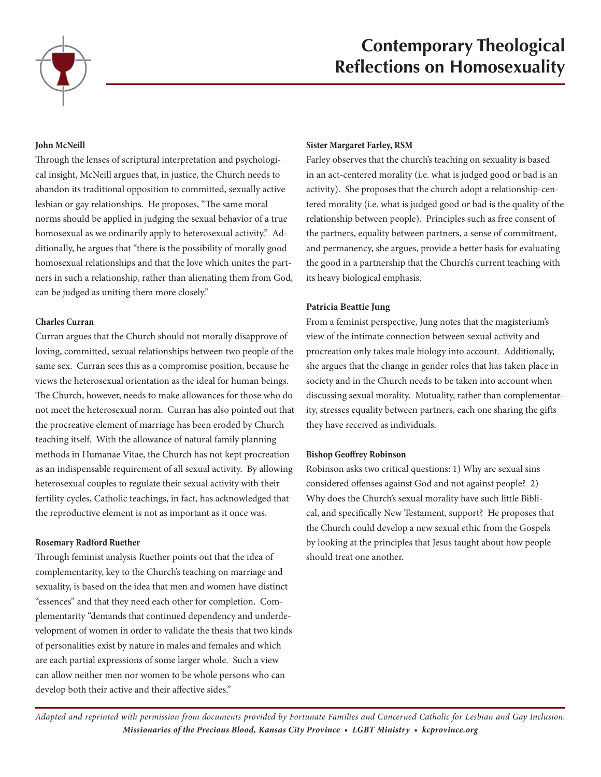

# **Contemporary Theological Reflections on Homosexuality**

## **John McNeill**

Through the lenses of scriptural interpretation and psychological insight, McNeill argues that, in justice, the Church needs to abandon its traditional opposition to committed, sexually active lesbian or gay relationships. He proposes, "The same moral norms should be applied in judging the sexual behavior of a true homosexual as we ordinarily apply to heterosexual activity." Additionally, he argues that "there is the possibility of morally good homosexual relationships and that the love which unites the partners in such a relationship, rather than alienating them from God, can be judged as uniting them more closely."

#### **Charles Curran**

Curran argues that the Church should not morally disapprove of loving, committed, sexual relationships between two people of the same sex. Curran sees this as a compromise position, because he views the heterosexual orientation as the ideal for human beings. The Church, however, needs to make allowances for those who do not meet the heterosexual norm. Curran has also pointed out that the procreative element of marriage has been eroded by Church teaching itself. With the allowance of natural family planning methods in Humanae Vitae, the Church has not kept procreation as an indispensable requirement of all sexual activity. By allowing heterosexual couples to regulate their sexual activity with their fertility cycles, Catholic teachings, in fact, has acknowledged that the reproductive element is not as important as it once was.

#### **Rosemary Radford Ruether**

Through feminist analysis Ruether points out that the idea of complementarity, key to the Church's teaching on marriage and sexuality, is based on the idea that men and women have distinct "essences" and that they need each other for completion. Complementarity "demands that continued dependency and underdevelopment of women in order to validate the thesis that two kinds of personalities exist by nature in males and females and which are each partial expressions of some larger whole. Such a view can allow neither men nor women to be whole persons who can develop both their active and their affective sides."

#### **Sister Margaret Farley, RSM**

Farley observes that the church's teaching on sexuality is based in an act-centered morality (i.e. what is judged good or bad is an activity). She proposes that the church adopt a relationship-centered morality (i.e. what is judged good or bad is the quality of the relationship between people). Principles such as free consent of the partners, equality between partners, a sense of commitment, and permanency, she argues, provide a better basis for evaluating the good in a partnership that the Church's current teaching with its heavy biological emphasis.

#### **Patricia Beattie Jung**

From a feminist perspective, Jung notes that the magisterium's view of the intimate connection between sexual activity and procreation only takes male biology into account. Additionally, she argues that the change in gender roles that has taken place in society and in the Church needs to be taken into account when discussing sexual morality. Mutuality, rather than complementarity, stresses equality between partners, each one sharing the gifts they have received as individuals.

#### **Bishop Geoffrey Robinson**

Robinson asks two critical questions: 1) Why are sexual sins considered offenses against God and not against people? 2) Why does the Church's sexual morality have such little Biblical, and specifically New Testament, support? He proposes that the Church could develop a new sexual ethic from the Gospels by looking at the principles that Jesus taught about how people should treat one another.

*Adapted and reprinted with permission from documents provided by Fortunate Families and Concerned Catholic for Lesbian and Gay Inclusion. Missionaries of the Precious Blood, Kansas City Province • LGBT Ministry • kcprovince.org*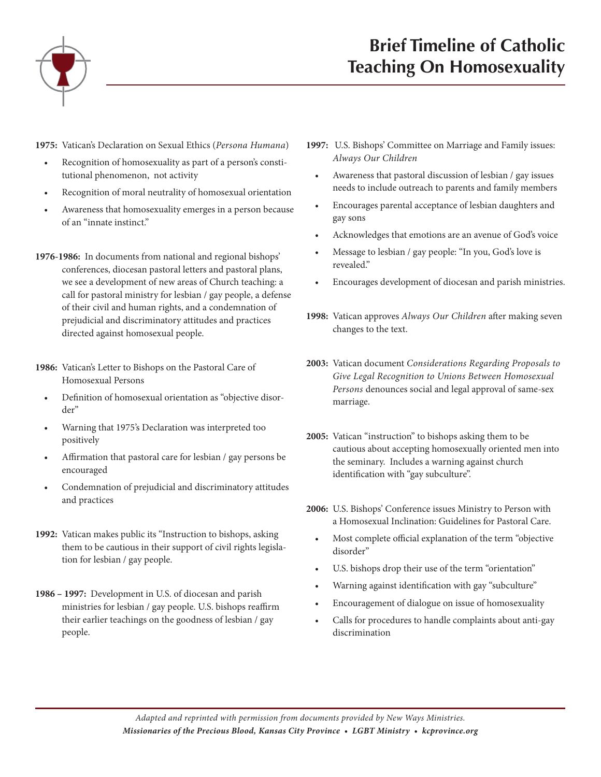

**1975:** Vatican's Declaration on Sexual Ethics (*Persona Humana*)

- Recognition of homosexuality as part of a person's constitutional phenomenon, not activity
- • Recognition of moral neutrality of homosexual orientation
- • Awareness that homosexuality emerges in a person because of an "innate instinct."
- **1976-1986:** In documents from national and regional bishops' conferences, diocesan pastoral letters and pastoral plans, we see a development of new areas of Church teaching: a call for pastoral ministry for lesbian / gay people, a defense of their civil and human rights, and a condemnation of prejudicial and discriminatory attitudes and practices directed against homosexual people.
- **1986:** Vatican's Letter to Bishops on the Pastoral Care of Homosexual Persons
	- • Definition of homosexual orientation as "objective disorder"
	- Warning that 1975's Declaration was interpreted too positively
	- Affirmation that pastoral care for lesbian / gay persons be encouraged
	- Condemnation of prejudicial and discriminatory attitudes and practices
- **1992:** Vatican makes public its "Instruction to bishops, asking them to be cautious in their support of civil rights legislation for lesbian / gay people.
- **1986 1997:** Development in U.S. of diocesan and parish ministries for lesbian / gay people. U.S. bishops reaffirm their earlier teachings on the goodness of lesbian / gay people.
- **1997:** U.S. Bishops' Committee on Marriage and Family issues: *Always Our Children* 
	- Awareness that pastoral discussion of lesbian / gay issues needs to include outreach to parents and family members
	- Encourages parental acceptance of lesbian daughters and gay sons
	- Acknowledges that emotions are an avenue of God's voice
	- • Message to lesbian / gay people: "In you, God's love is revealed."
	- Encourages development of diocesan and parish ministries.
- **1998:** Vatican approves *Always Our Children* after making seven changes to the text.
- **2003:** Vatican document *Considerations Regarding Proposals to Give Legal Recognition to Unions Between Homosexual Persons* denounces social and legal approval of same-sex marriage.
- **2005:** Vatican "instruction" to bishops asking them to be cautious about accepting homosexually oriented men into the seminary. Includes a warning against church identification with "gay subculture".
- **2006:** U.S. Bishops' Conference issues Ministry to Person with a Homosexual Inclination: Guidelines for Pastoral Care.
	- Most complete official explanation of the term "objective disorder"
	- U.S. bishops drop their use of the term "orientation"
	- • Warning against identification with gay "subculture"
	- Encouragement of dialogue on issue of homosexuality
	- Calls for procedures to handle complaints about anti-gay discrimination